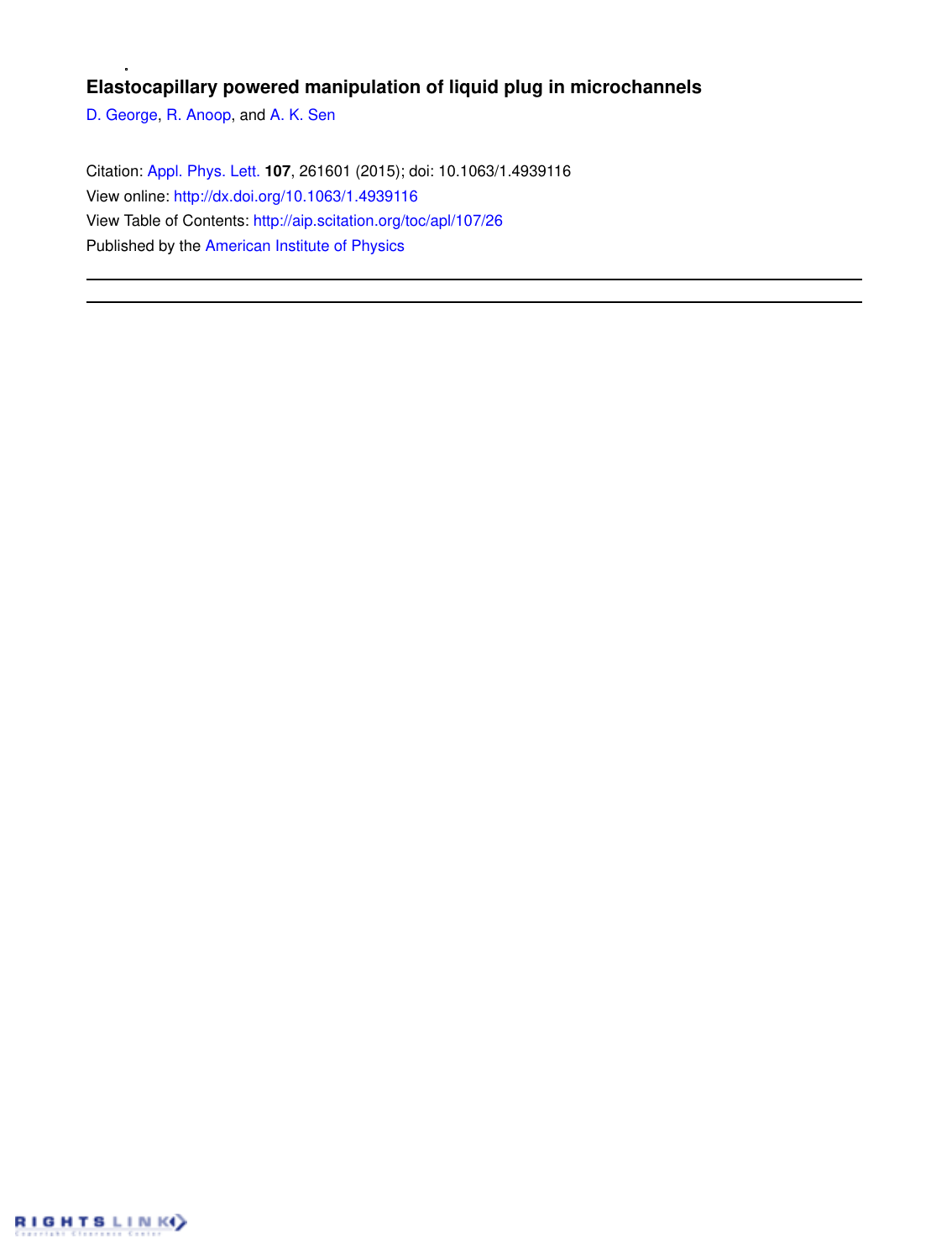## **Elastocapillary powered manipulation of liquid plug in microchannels**

D. George, R. Anoop, and A. K. Sen

Citation: Appl. Phys. Lett. **107**, 261601 (2015); doi: 10.1063/1.4939116 View online: http://dx.doi.org/10.1063/1.4939116 View Table of Contents: http://aip.scitation.org/toc/apl/107/26 Published by the American Institute of Physics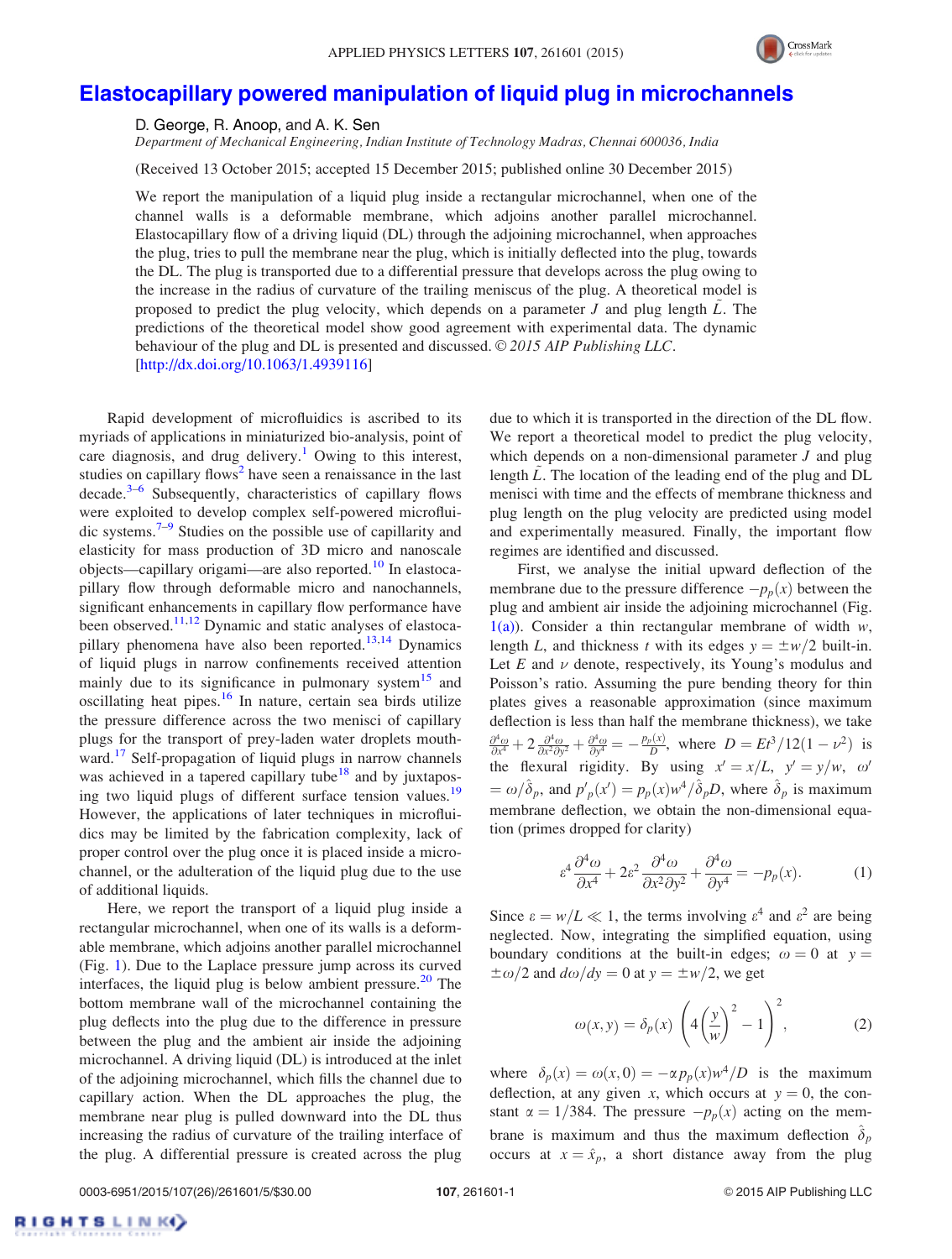

## Elastocapillary powered manipulation of liquid plug in microchannels

D. George, R. Anoop, and A. K. Sen

Department of Mechanical Engineering, Indian Institute of Technology Madras, Chennai 600036, India

(Received 13 October 2015; accepted 15 December 2015; published online 30 December 2015)

We report the manipulation of a liquid plug inside a rectangular microchannel, when one of the channel walls is a deformable membrane, which adjoins another parallel microchannel. Elastocapillary flow of a driving liquid (DL) through the adjoining microchannel, when approaches the plug, tries to pull the membrane near the plug, which is initially deflected into the plug, towards the DL. The plug is transported due to a differential pressure that develops across the plug owing to the increase in the radius of curvature of the trailing meniscus of the plug. A theoretical model is proposed to predict the plug velocity, which depends on a parameter  $J$  and plug length  $L$ . The predictions of the theoretical model show good agreement with experimental data. The dynamic behaviour of the plug and DL is presented and discussed.  $\odot$  2015 AIP Publishing LLC. [http://dx.doi.org/10.1063/1.4939116]

Rapid development of microfluidics is ascribed to its myriads of applications in miniaturized bio-analysis, point of care diagnosis, and drug delivery.<sup>1</sup> Owing to this interest, studies on capillary flows<sup>2</sup> have seen a renaissance in the last decade.<sup>3-6</sup> Subsequently, characteristics of capillary flows were exploited to develop complex self-powered microfluidic systems.7–9 Studies on the possible use of capillarity and elasticity for mass production of 3D micro and nanoscale objects—capillary origami—are also reported.<sup>10</sup> In elastocapillary flow through deformable micro and nanochannels, significant enhancements in capillary flow performance have been observed.<sup>11,12</sup> Dynamic and static analyses of elastocapillary phenomena have also been reported.<sup>13,14</sup> Dynamics of liquid plugs in narrow confinements received attention mainly due to its significance in pulmonary system $15$  and oscillating heat pipes.<sup>16</sup> In nature, certain sea birds utilize the pressure difference across the two menisci of capillary plugs for the transport of prey-laden water droplets mouthward.<sup>17</sup> Self-propagation of liquid plugs in narrow channels was achieved in a tapered capillary tube<sup>18</sup> and by juxtaposing two liquid plugs of different surface tension values.<sup>19</sup> However, the applications of later techniques in microfluidics may be limited by the fabrication complexity, lack of proper control over the plug once it is placed inside a microchannel, or the adulteration of the liquid plug due to the use of additional liquids.

Here, we report the transport of a liquid plug inside a rectangular microchannel, when one of its walls is a deformable membrane, which adjoins another parallel microchannel (Fig. 1). Due to the Laplace pressure jump across its curved interfaces, the liquid plug is below ambient pressure. $20$  The bottom membrane wall of the microchannel containing the plug deflects into the plug due to the difference in pressure between the plug and the ambient air inside the adjoining microchannel. A driving liquid (DL) is introduced at the inlet of the adjoining microchannel, which fills the channel due to capillary action. When the DL approaches the plug, the membrane near plug is pulled downward into the DL thus increasing the radius of curvature of the trailing interface of the plug. A differential pressure is created across the plug due to which it is transported in the direction of the DL flow. We report a theoretical model to predict the plug velocity, which depends on a non-dimensional parameter  $J$  and plug length  $\tilde{L}$ . The location of the leading end of the plug and DL menisci with time and the effects of membrane thickness and plug length on the plug velocity are predicted using model and experimentally measured. Finally, the important flow regimes are identified and discussed.

First, we analyse the initial upward deflection of the membrane due to the pressure difference  $-p_p(x)$  between the plug and ambient air inside the adjoining microchannel (Fig.  $1(a)$ ). Consider a thin rectangular membrane of width w, length L, and thickness t with its edges  $y = \pm w/2$  built-in. Let  $E$  and  $\nu$  denote, respectively, its Young's modulus and Poisson's ratio. Assuming the pure bending theory for thin plates gives a reasonable approximation (since maximum deflection is less than half the membrane thickness), we take  $\frac{\partial^4 \omega}{\partial x^4} + 2 \frac{\partial^4 \omega}{\partial x^2 \partial y^2} + \frac{\partial^4 \omega}{\partial y^4} = -\frac{p_p(x)}{D}$ , where  $D = Et^3/12(1 - \nu^2)$  is the flexural rigidity. By using  $x' = x/L$ ,  $y' = y/w$ ,  $\omega'$  $=\omega/\hat{\delta}_p$ , and  $p'_p(x') = p_p(x)w^4/\hat{\delta}_pD$ , where  $\hat{\delta}_p$  is maximum membrane deflection, we obtain the non-dimensional equation (primes dropped for clarity)

$$
\varepsilon^4 \frac{\partial^4 \omega}{\partial x^4} + 2\varepsilon^2 \frac{\partial^4 \omega}{\partial x^2 \partial y^2} + \frac{\partial^4 \omega}{\partial y^4} = -p_p(x). \tag{1}
$$

Since  $\varepsilon = w/L \ll 1$ , the terms involving  $\varepsilon^4$  and  $\varepsilon^2$  are being neglected. Now, integrating the simplified equation, using boundary conditions at the built-in edges;  $\omega = 0$  at  $y =$  $\pm \omega/2$  and  $d\omega/dy = 0$  at  $y = \pm w/2$ , we get

$$
\omega(x, y) = \delta_p(x) \left( 4\left(\frac{y}{w}\right)^2 - 1 \right)^2, \tag{2}
$$

where  $\delta_p(x) = \omega(x, 0) = -\alpha p_p(x) w^4/D$  is the maximum deflection, at any given x, which occurs at  $y = 0$ , the constant  $\alpha = 1/384$ . The pressure  $-p_p(x)$  acting on the membrane is maximum and thus the maximum deflection  $\delta_p$ occurs at  $x = \hat{x}_p$ , a short distance away from the plug

RIGHTSLINK()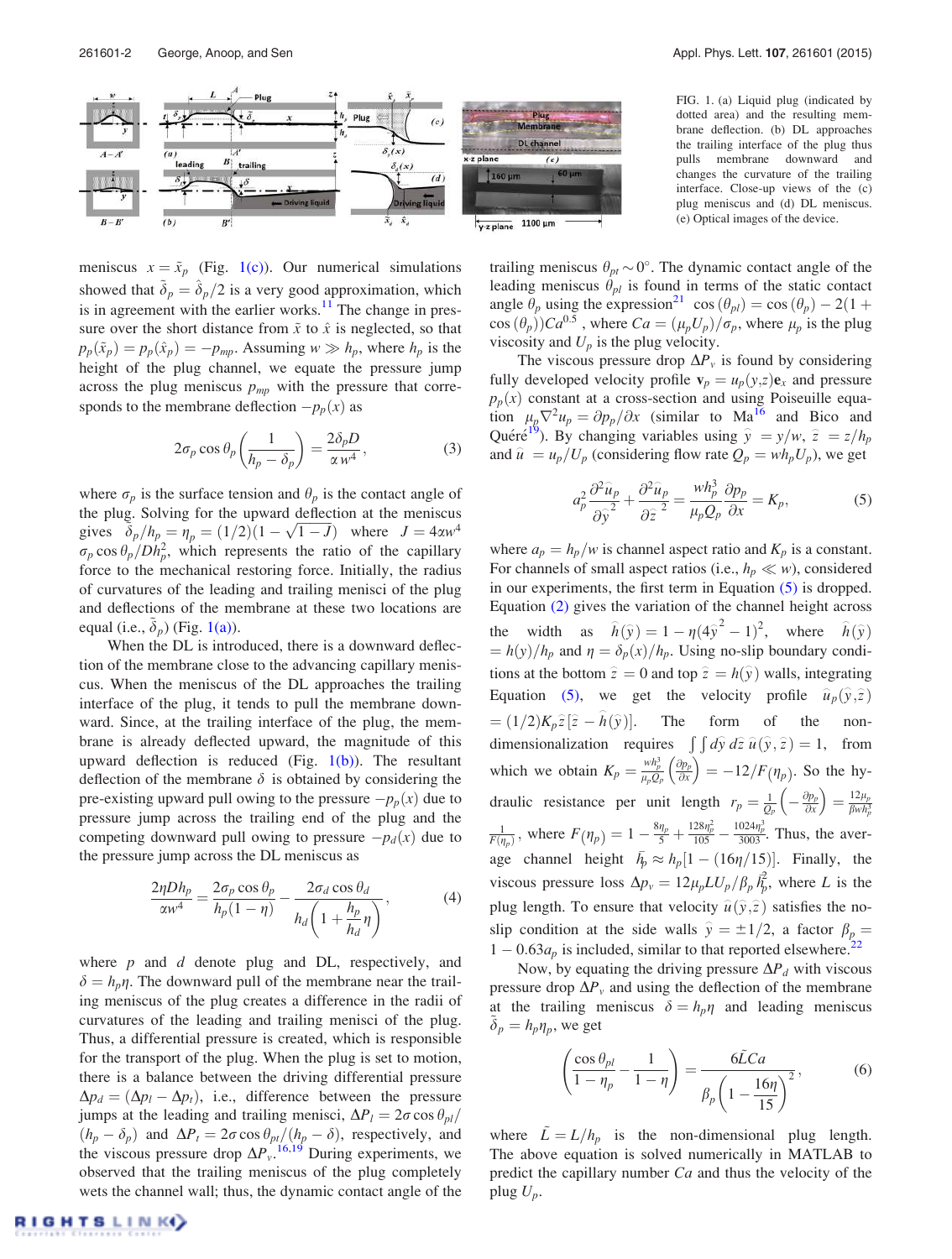

FIG. 1. (a) Liquid plug (indicated by dotted area) and the resulting membrane deflection. (b) DL approaches the trailing interface of the plug thus pulls membrane downward and changes the curvature of the trailing interface. Close-up views of the (c) plug meniscus and (d) DL meniscus. (e) Optical images of the device.

meniscus  $x = \tilde{x}_p$  (Fig. 1(c)). Our numerical simulations showed that  $\delta_p = \delta_p/2$  is a very good approximation, which is in agreement with the earlier works.<sup>11</sup> The change in pressure over the short distance from  $\tilde{x}$  to  $\hat{x}$  is neglected, so that  $p_p(\tilde{x}_p) = p_p(\hat{x}_p) = -p_{mp}$ . Assuming  $w \gg h_p$ , where  $h_p$  is the height of the plug channel, we equate the pressure jump across the plug meniscus  $p_{mp}$  with the pressure that corresponds to the membrane deflection  $-p_p(x)$  as

$$
2\sigma_p \cos \theta_p \left( \frac{1}{h_p - \delta_p} \right) = \frac{2\delta_p D}{\alpha w^4},\tag{3}
$$

where  $\sigma_p$  is the surface tension and  $\theta_p$  is the contact angle of the plug. Solving for the upward deflection at the meniscus gives  $\delta_p/h_p = \eta_p = (1/2)(1 - \sqrt{1 - J})$  where  $J = 4\alpha w^4$  $\sigma_p \cos \theta_p / Dh_p^2$ , which represents the ratio of the capillary force to the mechanical restoring force. Initially, the radius of curvatures of the leading and trailing menisci of the plug and deflections of the membrane at these two locations are equal (i.e.,  $\delta_p$ ) (Fig. 1(a)).

When the DL is introduced, there is a downward deflection of the membrane close to the advancing capillary meniscus. When the meniscus of the DL approaches the trailing interface of the plug, it tends to pull the membrane downward. Since, at the trailing interface of the plug, the membrane is already deflected upward, the magnitude of this upward deflection is reduced (Fig.  $1(b)$ ). The resultant deflection of the membrane  $\delta$  is obtained by considering the pre-existing upward pull owing to the pressure  $-p_p(x)$  due to pressure jump across the trailing end of the plug and the competing downward pull owing to pressure  $-p_d(x)$  due to the pressure jump across the DL meniscus as

$$
\frac{2\eta Dh_p}{\alpha w^4} = \frac{2\sigma_p \cos \theta_p}{h_p(1-\eta)} - \frac{2\sigma_d \cos \theta_d}{h_d \left(1 + \frac{h_p}{h_d} \eta\right)},\tag{4}
$$

where  $p$  and  $d$  denote plug and DL, respectively, and  $\delta = h_n \eta$ . The downward pull of the membrane near the trailing meniscus of the plug creates a difference in the radii of curvatures of the leading and trailing menisci of the plug. Thus, a differential pressure is created, which is responsible for the transport of the plug. When the plug is set to motion, there is a balance between the driving differential pressure  $\Delta p_d = (\Delta p_l - \Delta p_t)$ , i.e., difference between the pressure jumps at the leading and trailing menisci,  $\Delta P_l = 2\sigma \cos \theta_{pl}/$  $(h_p - \delta_p)$  and  $\Delta P_t = 2\sigma \cos \theta_{pt}/(h_p - \delta)$ , respectively, and the viscous pressure drop  $\Delta P_{v}$ . <sup>16,19</sup> During experiments, we observed that the trailing meniscus of the plug completely wets the channel wall; thus, the dynamic contact angle of the

trailing meniscus  $\theta_{pt} \sim 0^{\circ}$ . The dynamic contact angle of the leading meniscus  $\theta_{pl}$  is found in terms of the static contact angle  $\theta_p$  using the expression<sup>21</sup> cos  $(\theta_{pl}) = \cos(\theta_p) - 2(1 +$  $cos(\theta_p))Ca^{0.5}$ , where  $Ca = (\mu_p U_p)/\sigma_p$ , where  $\mu_p$  is the plug viscosity and  $U_p$  is the plug velocity.

The viscous pressure drop  $\Delta P_{v}$  is found by considering fully developed velocity profile  $\mathbf{v}_p = u_p(y, z)\mathbf{e}_x$  and pressure  $p_p(x)$  constant at a cross-section and using Poiseuille equation  $\mu_p \nabla^2 u_p = \frac{\partial p_p}{\partial x}$  (similar to Ma<sup>16</sup> and Bico and Quéré<sup>19</sup>). By changing variables using  $\hat{y} = y/w, \hat{z} = z/h_p$ and  $\hat{u} = u_p / U_p$  (considering flow rate  $Q_p = wh_p U_p$ ), we get

$$
a_p^2 \frac{\partial^2 \widehat{u}_p}{\partial \widehat{y}^2} + \frac{\partial^2 \widehat{u}_p}{\partial \widehat{z}^2} = \frac{wh_p^3}{\mu_p Q_p} \frac{\partial p_p}{\partial x} = K_p,\tag{5}
$$

where  $a_p = h_p/w$  is channel aspect ratio and  $K_p$  is a constant. For channels of small aspect ratios (i.e.,  $h_p \ll w$ ), considered in our experiments, the first term in Equation (5) is dropped. Equation (2) gives the variation of the channel height across the width as  $\hat{h}(\hat{y}) = 1 - \eta (4\hat{y}^2 - 1)^2$ , where  $\hat{h}(\hat{y})$  $= h(y)/h_p$  and  $\eta = \delta_p(x)/h_p$ . Using no-slip boundary conditions at the bottom  $\hat{z} = 0$  and top  $\hat{z} = h(\hat{y})$  walls, integrating Equation (5), we get the velocity profile  $\hat{u}_p(\hat{y}, \hat{z})$  $= (1/2)K_p \hat{z} [\hat{z} - \hat{h}(\hat{y})]$ Þ. The form of the nondimensionalization requires  $\int \int d\hat{y} d\hat{z} \, \hat{u}(\hat{y}, \hat{z}) = 1$ , from which we obtain  $K_p = \frac{wh_p^3}{\mu_p Q_p}$  $\partial p_p$  $\left(\frac{\partial p_p}{\partial x}\right) = -12/F(\eta_p)$ . So the hydraulic resistance per unit length  $r_p = \frac{1}{Q_p} \left( -\frac{\partial p_p}{\partial x} \right)$  $\left(-\frac{\partial p_p}{\partial x}\right) = \frac{12\mu_p}{\beta wh_p^3}$  $\beta$ wh $_p^3$  $\frac{1}{F(\eta_p)}$ , where  $F(\eta_p) = 1 - \frac{8\eta_p}{5} + \frac{128\eta_p^2}{105} - \frac{1024\eta_p^3}{3003}$ . Thus, the average channel height  $\bar{h}_p \approx h_p[1 - (16\eta/15)]$ . Finally, the viscous pressure loss  $\Delta p_v = 12\mu_p L U_p / \beta_p \vec{h}_p^2$  $\tilde{p}$ , where L is the plug length. To ensure that velocity  $\hat{u}(\hat{y}, \hat{z})$  satisfies the noslip condition at the side walls  $\hat{y} = \pm 1/2$ , a factor  $\beta_{p} = \frac{1}{2}$  $1 - 0.63a_p$  is included, similar to that reported elsewhere.<sup>22</sup>

Now, by equating the driving pressure  $\Delta P_d$  with viscous pressure drop  $\Delta P_v$  and using the deflection of the membrane at the trailing meniscus  $\delta = h_p \eta$  and leading meniscus  $\tilde{\delta}_p = h_p \eta_p$ , we get

$$
\left(\frac{\cos\theta_{pl}}{1-\eta_p} - \frac{1}{1-\eta}\right) = \frac{6\tilde{L}Ca}{\beta_p \left(1 - \frac{16\eta}{15}\right)^2},\tag{6}
$$

where  $\tilde{L} = L/h_p$  is the non-dimensional plug length. The above equation is solved numerically in MATLAB to predict the capillary number  $Ca$  and thus the velocity of the plug  $U_p$ .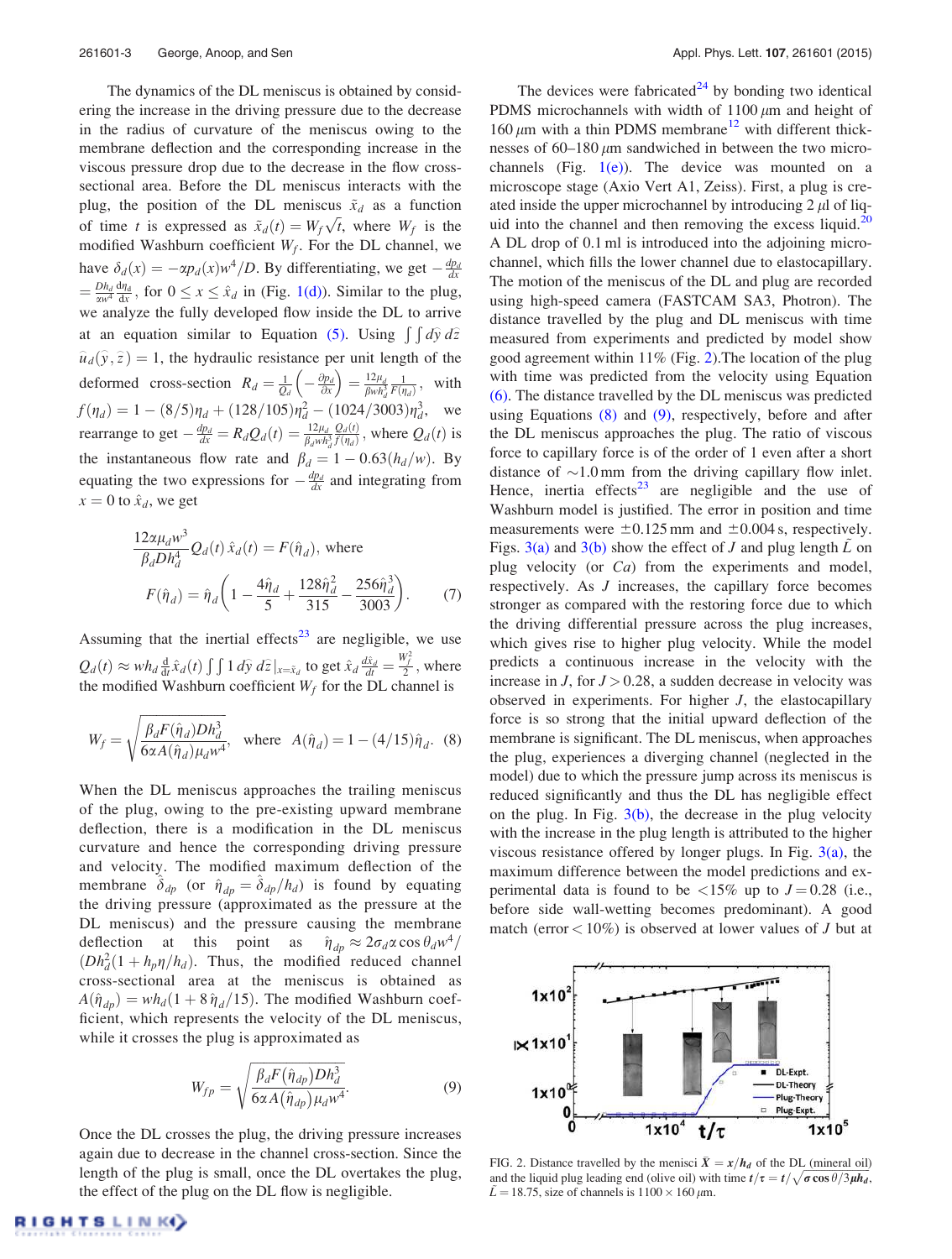The dynamics of the DL meniscus is obtained by considering the increase in the driving pressure due to the decrease in the radius of curvature of the meniscus owing to the membrane deflection and the corresponding increase in the viscous pressure drop due to the decrease in the flow crosssectional area. Before the DL meniscus interacts with the plug, the position of the DL meniscus  $\tilde{x}_d$  as a function of time t is expressed as  $\tilde{x}_d(t) = W_f \sqrt{t}$ , where  $W_f$  is the modified Washburn coefficient  $W_f$ . For the DL channel, we have  $\delta_d(x) = -\alpha p_d(x) w^4/D$ . By differentiating, we get  $-\frac{dp_d}{dx}$  $=\frac{Dh_d}{\alpha w^4}\frac{d\eta_d}{dx}$ , for  $0 \le x \le \hat{x}_d$  in (Fig. 1(d)). Similar to the plug, we analyze the fully developed flow inside the DL to arrive at an equation similar to Equation (5). Using  $\int \int d\hat{y} d\hat{z}$  $\hat{u}_d(\hat{y}, \hat{z}) = 1$ , the hydraulic resistance per unit length of the deformed cross-section  $R_d = \frac{1}{Q_d} \left( -\frac{\partial p_d}{\partial x} \right) = \frac{12\mu_d}{\beta w h_d^3}$  $\frac{1}{F(\eta_d)}$ , with  $f(\eta_d) = 1 - (8/5)\eta_d + (128/105)\eta_d^2 - (1024/3003)\eta_d^3$ , we rearrange to get  $-\frac{dp_d}{dx} = R_dQ_d(t) = \frac{12\mu_d}{\beta_d w h_d^3}$  $Q_d(t)$  $\frac{Q_d(t)}{f(\eta_d)}$ , where  $Q_d(t)$  is the instantaneous flow rate and  $\beta_d = 1 - 0.63(h_d/w)$ . By equating the two expressions for  $-\frac{dp_d}{dx}$  and integrating from  $x = 0$  to  $\hat{x}_d$ , we get

$$
\frac{12\alpha\mu_d w^3}{\beta_d Dh_d^4} Q_d(t)\,\hat{x}_d(t) = F(\hat{\eta}_d), \text{ where}
$$

$$
F(\hat{\eta}_d) = \hat{\eta}_d \left(1 - \frac{4\hat{\eta}_d}{5} + \frac{128\hat{\eta}_d^2}{315} - \frac{256\hat{\eta}_d^3}{3003}\right). \tag{7}
$$

Assuming that the inertial effects $23$  are negligible, we use  $Q_d(t) \approx wh_d \frac{d}{dt} \hat{x}_d(t) \int \int 1 \, d\hat{y} \, d\hat{z} \, |_{x=\tilde{x}_d}$  to get  $\hat{x}_d \frac{d\hat{x}_d}{dt} =$  $\frac{W_f^2}{2}$ , where the modified Washburn coefficient  $W_f$  for the DL channel is

$$
W_f = \sqrt{\frac{\beta_d F(\hat{\eta}_d) D h_d^3}{6\alpha A(\hat{\eta}_d)\mu_d w^4}}, \text{ where } A(\hat{\eta}_d) = 1 - (4/15)\hat{\eta}_d. (8)
$$

When the DL meniscus approaches the trailing meniscus of the plug, owing to the pre-existing upward membrane deflection, there is a modification in the DL meniscus curvature and hence the corresponding driving pressure and velocity. The modified maximum deflection of the membrane  $\delta_{dp}$  (or  $\hat{\eta}_{dp} = \delta_{dp} / h_d$ ) is found by equating the driving pressure (approximated as the pressure at the DL meniscus) and the pressure causing the membrane deflection at this point as  $\hat{\eta}_{dp} \approx 2\sigma_d \alpha \cos \theta_d w^4$  $(Dh_d^2(1 + h_p \eta/h_d)$ . Thus, the modified reduced channel cross-sectional area at the meniscus is obtained as  $A(\hat{\eta}_{dp}) = wh_d(1 + 8\hat{\eta}_d/15)$ . The modified Washburn coefficient, which represents the velocity of the DL meniscus, while it crosses the plug is approximated as

$$
W_{fp} = \sqrt{\frac{\beta_d F(\hat{\eta}_{dp}) D h_d^3}{6\alpha A(\hat{\eta}_{dp}) \mu_d w^4}}.
$$
\n(9)

Once the DL crosses the plug, the driving pressure increases again due to decrease in the channel cross-section. Since the length of the plug is small, once the DL overtakes the plug, the effect of the plug on the DL flow is negligible.

The devices were fabricated<sup>24</sup> by bonding two identical PDMS microchannels with width of  $1100 \mu m$  and height of 160  $\mu$ m with a thin PDMS membrane<sup>12</sup> with different thicknesses of  $60-180 \mu m$  sandwiched in between the two microchannels (Fig.  $1(e)$ ). The device was mounted on a microscope stage (Axio Vert A1, Zeiss). First, a plug is created inside the upper microchannel by introducing  $2 \mu$  of liquid into the channel and then removing the excess liquid.<sup>20</sup> A DL drop of 0.1 ml is introduced into the adjoining microchannel, which fills the lower channel due to elastocapillary. The motion of the meniscus of the DL and plug are recorded using high-speed camera (FASTCAM SA3, Photron). The distance travelled by the plug and DL meniscus with time measured from experiments and predicted by model show good agreement within 11% (Fig. 2).The location of the plug with time was predicted from the velocity using Equation (6). The distance travelled by the DL meniscus was predicted using Equations (8) and (9), respectively, before and after the DL meniscus approaches the plug. The ratio of viscous force to capillary force is of the order of 1 even after a short distance of  $\sim$ 1.0 mm from the driving capillary flow inlet. Hence, inertia effects<sup>23</sup> are negligible and the use of Washburn model is justified. The error in position and time measurements were  $\pm 0.125$  mm and  $\pm 0.004$  s, respectively. Figs.  $3(a)$  and  $3(b)$  show the effect of J and plug length L on plug velocity (or Ca) from the experiments and model, respectively. As J increases, the capillary force becomes stronger as compared with the restoring force due to which the driving differential pressure across the plug increases, which gives rise to higher plug velocity. While the model predicts a continuous increase in the velocity with the increase in  $J$ , for  $J > 0.28$ , a sudden decrease in velocity was observed in experiments. For higher J, the elastocapillary force is so strong that the initial upward deflection of the membrane is significant. The DL meniscus, when approaches the plug, experiences a diverging channel (neglected in the model) due to which the pressure jump across its meniscus is reduced significantly and thus the DL has negligible effect on the plug. In Fig.  $3(b)$ , the decrease in the plug velocity with the increase in the plug length is attributed to the higher viscous resistance offered by longer plugs. In Fig.  $3(a)$ , the maximum difference between the model predictions and experimental data is found to be  $\langle 15\% \text{ up to } J = 0.28 \text{ (i.e., }$ before side wall-wetting becomes predominant). A good match (error  $< 10\%$ ) is observed at lower values of *J* but at



FIG. 2. Distance travelled by the menisci  $\bar{X} = x/h_d$  of the DL (mineral oil) and the liquid plug leading end (olive oil) with time  $t/\tau = t/\sqrt{\sigma \cos \theta/3\mu h_d}$ ,  $\tilde{L} = 18.75$ , size of channels is  $1100 \times 160 \,\mu$ m.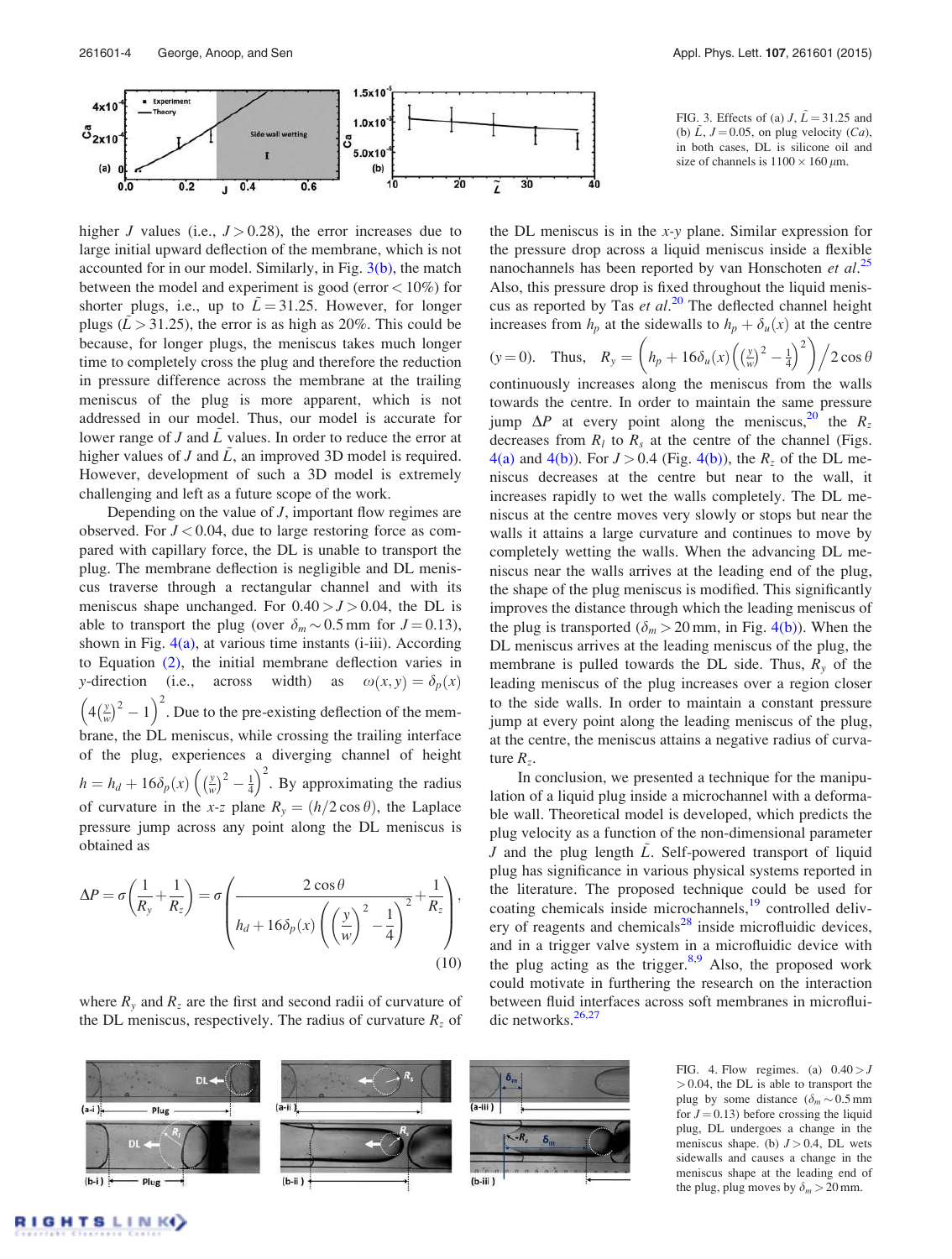

FIG. 3. Effects of (a)  $J, \tilde{L} = 31.25$  and (b)  $\tilde{L}$ ,  $J = 0.05$ , on plug velocity (*Ca*), in both cases, DL is silicone oil and size of channels is  $1100 \times 160 \,\mu$ m.

higher J values (i.e.,  $J > 0.28$ ), the error increases due to large initial upward deflection of the membrane, which is not accounted for in our model. Similarly, in Fig.  $3(b)$ , the match between the model and experiment is good (error < 10%) for shorter plugs, i.e., up to  $\bar{L}$  = 31.25. However, for longer plugs ( $\tilde{L} > 31.25$ ), the error is as high as 20%. This could be because, for longer plugs, the meniscus takes much longer time to completely cross the plug and therefore the reduction in pressure difference across the membrane at the trailing meniscus of the plug is more apparent, which is not addressed in our model. Thus, our model is accurate for lower range of J and  $\tilde{L}$  values. In order to reduce the error at higher values of  $J$  and  $L$ , an improved 3D model is required. However, development of such a 3D model is extremely challenging and left as a future scope of the work.

Depending on the value of  $J$ , important flow regimes are observed. For  $J < 0.04$ , due to large restoring force as compared with capillary force, the DL is unable to transport the plug. The membrane deflection is negligible and DL meniscus traverse through a rectangular channel and with its meniscus shape unchanged. For  $0.40 > J > 0.04$ , the DL is able to transport the plug (over  $\delta_m \sim 0.5$  mm for  $J = 0.13$ ), shown in Fig.  $4(a)$ , at various time instants (i-iii). According to Equation (2), the initial membrane deflection varies in y-direction (i.e., across width) as  $\omega(x, y) = \delta_p(x)$  $\left(4\left(\frac{y}{w}\right)^2 - 1\right)^2$ . Due to the pre-existing deflection of the membrane, the DL meniscus, while crossing the trailing interface of the plug, experiences a diverging channel of height  $h = h_d + 16\delta_p(x) \left(\left(\frac{y}{w}\right)^2 - \frac{1}{4}\right)^2$ . By approximating the radius of curvature in the x-z plane  $R_y = (h/2 \cos \theta)$ , the Laplace pressure jump across any point along the DL meniscus is obtained as

$$
\Delta P = \sigma \left( \frac{1}{R_y} + \frac{1}{R_z} \right) = \sigma \left( \frac{2 \cos \theta}{h_d + 16 \delta_p(x) \left( \left( \frac{y}{w} \right)^2 - \frac{1}{4} \right)^2} + \frac{1}{R_z} \right),\tag{10}
$$

where  $R<sub>y</sub>$  and  $R<sub>z</sub>$  are the first and second radii of curvature of the DL meniscus, respectively. The radius of curvature  $R<sub>z</sub>$  of the DL meniscus is in the x-y plane. Similar expression for the pressure drop across a liquid meniscus inside a flexible nanochannels has been reported by van Honschoten et al.<sup>25</sup> Also, this pressure drop is fixed throughout the liquid meniscus as reported by Tas et  $al.^{20}$  The deflected channel height increases from  $h_p$  at the sidewalls to  $h_p + \delta_u(x)$  at the centre

$$
(y=0). \quad \text{Thus,} \quad R_y = \left(h_p + 16\delta_u(x)\left(\left(\frac{y}{w}\right)^2 - \frac{1}{4}\right)^2\right)/2\cos\theta
$$

continuously increases along the meniscus from the walls towards the centre. In order to maintain the same pressure jump  $\Delta P$  at every point along the meniscus,<sup>20</sup> the  $R_z$ decreases from  $R_l$  to  $R_s$  at the centre of the channel (Figs. 4(a) and 4(b)). For  $J > 0.4$  (Fig. 4(b)), the  $R_z$  of the DL meniscus decreases at the centre but near to the wall, it increases rapidly to wet the walls completely. The DL meniscus at the centre moves very slowly or stops but near the walls it attains a large curvature and continues to move by completely wetting the walls. When the advancing DL meniscus near the walls arrives at the leading end of the plug, the shape of the plug meniscus is modified. This significantly improves the distance through which the leading meniscus of the plug is transported ( $\delta_m > 20$  mm, in Fig. 4(b)). When the DL meniscus arrives at the leading meniscus of the plug, the membrane is pulled towards the DL side. Thus,  $R<sub>v</sub>$  of the leading meniscus of the plug increases over a region closer to the side walls. In order to maintain a constant pressure jump at every point along the leading meniscus of the plug, at the centre, the meniscus attains a negative radius of curvature  $R_z$ .

In conclusion, we presented a technique for the manipulation of a liquid plug inside a microchannel with a deformable wall. Theoretical model is developed, which predicts the plug velocity as a function of the non-dimensional parameter J and the plug length  $\tilde{L}$ . Self-powered transport of liquid plug has significance in various physical systems reported in the literature. The proposed technique could be used for coating chemicals inside microchannels,<sup>19</sup> controlled delivery of reagents and chemicals $28$  inside microfluidic devices, and in a trigger valve system in a microfluidic device with the plug acting as the trigger. $8,9$  Also, the proposed work could motivate in furthering the research on the interaction between fluid interfaces across soft membranes in microfluidic networks. $26,27$ 



FIG. 4. Flow regimes. (a)  $0.40 > J$  $> 0.04$ , the DL is able to transport the plug by some distance  $(\delta_m \sim 0.5 \text{ mm})$ for  $J = 0.13$ ) before crossing the liquid plug, DL undergoes a change in the meniscus shape. (b)  $J > 0.4$ , DL wets sidewalls and causes a change in the meniscus shape at the leading end of the plug, plug moves by  $\delta_m > 20$  mm.